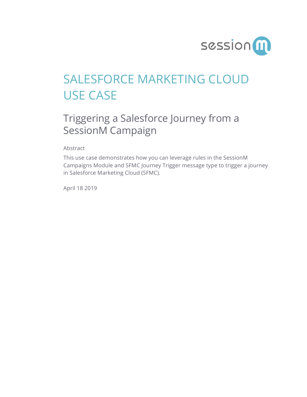

## SALESFORCE MARKETING CLOUD USE CASE

## Triggering a Salesforce Journey from a SessionM Campaign

Abstract

This use case demonstrates how you can leverage rules in the SessionM Campaigns Module and SFMC Journey Trigger message type to trigger a journey in Salesforce Marketing Cloud (SFMC).

April 18 2019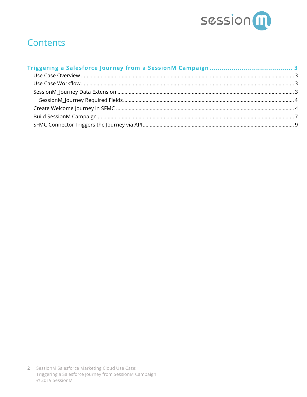

#### **Contents**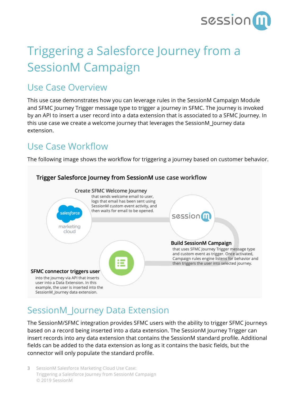

# Triggering a Salesforce Journey from a SessionM Campaign

#### Use Case Overview

This use case demonstrates how you can leverage rules in the SessionM Campaign Module and SFMC Journey Trigger message type to trigger a journey in SFMC. The journey is invoked by an API to insert a user record into a data extension that is associated to a SFMC Journey. In this use case we create a welcome journey that leverages the SessionM\_Journey data extension.

#### Use Case Workflow

The following image shows the workflow for triggering a journey based on customer behavior.



### SessionM\_Journey Data Extension

The SessionM/SFMC integration provides SFMC users with the ability to trigger SFMC journeys based on a record being inserted into a data extension. The SessionM Journey Trigger can insert records into any data extension that contains the SessionM standard profile. Additional fields can be added to the data extension as long as it contains the basic fields, but the connector will only populate the standard profile.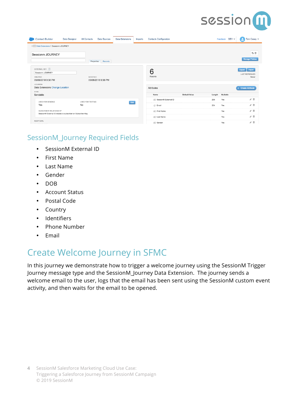

| <b>Contact Builder</b><br>Data Designer                                                 | All Contacts<br><b>Data Sources</b> | <b>Data Extensions</b> | Imports | <b>Contacts Configuration</b> |               |        | $DEV =$<br>Feedback | Tom Casey $\blacktriangledown$<br>ρ                |
|-----------------------------------------------------------------------------------------|-------------------------------------|------------------------|---------|-------------------------------|---------------|--------|---------------------|----------------------------------------------------|
| € Extensions € Sessionm JOURNEY                                                         |                                     |                        |         |                               |               |        |                     |                                                    |
| Sessionm JOURNEY                                                                        |                                     |                        |         |                               |               |        |                     | 取用                                                 |
|                                                                                         | Properties Records                  |                        |         |                               |               |        |                     | <b>Manage Policies</b>                             |
| EXTERNAL KEY<br>Sessionm::JOURNEY<br>CREATED<br>09/06/2018 9:38 PM                      | MODIFIED<br>09/06/2018 9:38 PM      |                        |         | 6<br>Records                  |               |        |                     | Import<br>Export<br><b>LAST REFRESHED</b><br>Never |
| LOCATION<br>Data Extensions Change Location<br>TYPE                                     |                                     |                        |         | Attributes                    |               |        |                     | + Create Attribute                                 |
| Sendable                                                                                |                                     |                        |         | Name                          | Default Value | Length | Nullable            |                                                    |
| <b>USED FOR SENDING</b>                                                                 | <b>USED FOR TESTING</b>             | Edit                   |         | AEC SessionM External ID      |               | 256    | Yes                 | ≠Ⅲ                                                 |
| Yes                                                                                     | <b>No</b>                           |                        |         | @ Email                       |               | 254    | Yes                 | √Ⅲ                                                 |
| SUBSCRIBER RELATIONSHIP<br>SessionM External ID relates to subscriber on Subscriber Key |                                     |                        |         | AIC First Name                |               |        | Yes                 | 才菲                                                 |
|                                                                                         |                                     |                        |         | ABC Last Name                 |               |        | Yes                 | √Ⅲ                                                 |
| ROOT DATA                                                                               |                                     |                        |         | AIIC Gender                   |               |        | Yes                 | γⅢ                                                 |

#### SessionM\_Journey Required Fields

- SessionM External ID
- First Name
- Last Name
- Gender
- DOB
- Account Status
- Postal Code
- Country
- Identifiers
- Phone Number
- Email

### Create Welcome Journey in SFMC

In this journey we demonstrate how to trigger a welcome journey using the SessionM Trigger Journey message type and the SessionM\_Journey Data Extension. The journey sends a welcome email to the user, logs that the email has been sent using the SessionM custom event activity, and then waits for the email to be opened.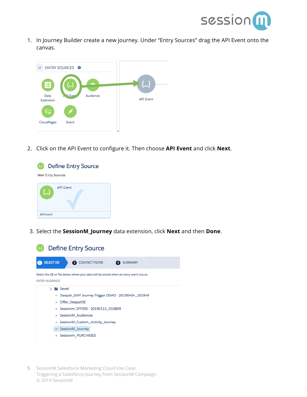

1. In Journey Builder create a new journey. Under "Entry Sources" drag the API Event onto the canvas.



2. Click on the API Event to configure it. Then choose **API Event** and click **Next**.



3. Select the **SessionM\_Journey** data extension, click **Next** and then **Done**.

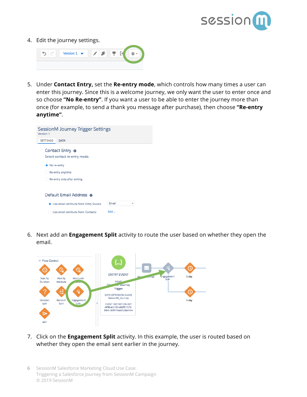

4. Edit the journey settings.



5. Under **Contact Entry,** set the **Re-entry mode**, which controls how many times a user can enter this journey. Since this is a welcome journey, we only want the user to enter once and so choose **"No Re-entry"**. If you want a user to be able to enter the journey more than once (for example, to send a thank you message after purchase), then choose **"Re-entry anytime"**.

| <b>SessionM Journey Trigger Settings</b><br>Version 1   |
|---------------------------------------------------------|
| <b>SETTINGS</b><br>DATA                                 |
| Contact Entry <b>o</b><br>Select contact re-entry mode. |
| • No re-entry                                           |
| Re-entry anytime                                        |
| Re-entry only after exiting                             |
|                                                         |
| Default Email Address @                                 |
| Email<br>• Use email attribute from Entry Source<br>٠   |
| Add<br>Use email attribute from Contacts                |

6. Next add an **Engagement Split** activity to route the user based on whether they open the email.



- 7. Click on the **Engagement Split** activity. In this example, the user is routed based on whether they open the email sent earlier in the journey.
- 6 SessionM Salesforce Marketing Cloud Use Case: Triggering a Salesforce Journey from SessionM Campaign © 2019 SessionM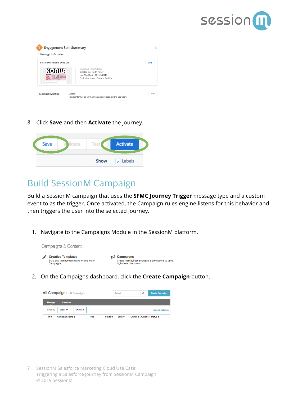



8. Click **Save** and then **Activate** the journey.



#### Build SessionM Campaign

Build a SessionM campaign that uses the **SFMC Journey Trigger** message type and a custom event to as the trigger. Once activated, the Campaign rules engine listens for this behavior and then triggers the user into the selected journey.

1. Navigate to the Campaigns Module in the SessionM platform.



2. On the Campaigns dashboard, click the **Create Campaign** button.

| All Campaigns (97 Campaigns)                                            |             | Search             |                   | $\alpha$                  | <b>Create Campaign</b> |
|-------------------------------------------------------------------------|-------------|--------------------|-------------------|---------------------------|------------------------|
| <b>Manage</b><br><b>Calendar</b>                                        |             |                    |                   |                           |                        |
| Filter By:<br>Status $\blacktriangledown$<br>Owner $\blacktriangledown$ |             |                    |                   |                           | <b>Manage Columns</b>  |
| ID ÷<br>Campaign Name $\div$                                            | <b>Type</b> | Starts $\triangle$ | Ends $\triangleq$ | Owner ≑ Audience Status ≑ |                        |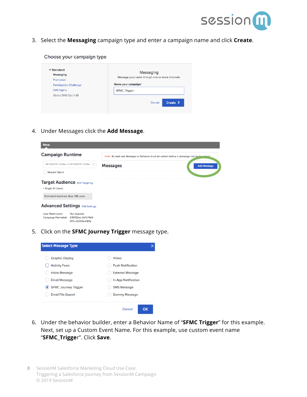

3. Select the **Messaging** campaign type and enter a campaign name and click **Create**.

#### Choose your campaign type

| <b>Messaging</b>               | Messaging                                        |
|--------------------------------|--------------------------------------------------|
| Promotion                      | Message your users through one or more channels. |
| <b>Participation Challenge</b> | Name your campaign*                              |
| SMS Opt In                     | SFMC_Trigger                                     |
| Global SMS Opt In O            |                                                  |
|                                | Create <b>&gt;</b><br>Cancel                     |

4. Under Messages click the **Add Message**.

| <b>Setup</b>                                                                                                        |                 |                                                                                        |
|---------------------------------------------------------------------------------------------------------------------|-----------------|----------------------------------------------------------------------------------------|
| <b>Campaign Runtime</b>                                                                                             |                 | Note: At least one Message or Behavior must be added before a campaign can be leverhed |
| 04/10/2019 12:43an ~ 05/10/2019 12:43an 户                                                                           | <b>Messages</b> | <b>Add Message</b>                                                                     |
| <b>Require Opt-In</b>                                                                                               |                 |                                                                                        |
| <b>Target Audience Edit Targeting</b>                                                                               |                 |                                                                                        |
| • Target All Users                                                                                                  |                 |                                                                                        |
| Estimated Audience Size: 198 users                                                                                  |                 |                                                                                        |
| <b>Advanced Settings Edit Settings</b>                                                                              |                 |                                                                                        |
| <b>User Restrictions:</b><br>Not required<br>839f92bc-5b10-11e9-<br><b>Campaign Permalink:</b><br>8f7c-d1cf93e4381a |                 |                                                                                        |

5. Click on the **SFMC Journey Trigger** message type.



- 6. Under the behavior builder, enter a Behavior Name of "**SFMC Trigger**" for this example. Next, set up a Custom Event Name. For this example, use custom event name "**SFMC\_Trigge**r". Click **Save**.
- 8 SessionM Salesforce Marketing Cloud Use Case: Triggering a Salesforce Journey from SessionM Campaign © 2019 SessionM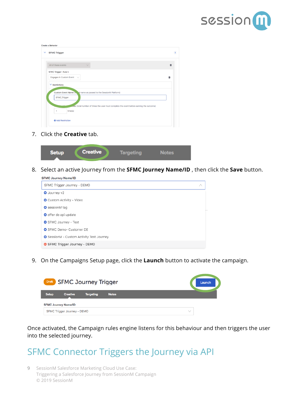

| $\checkmark$ | <b>SFMC Trigger</b>                                                                     |   |  |
|--------------|-----------------------------------------------------------------------------------------|---|--|
|              | All of these events<br>$\sqrt{}$                                                        | 面 |  |
|              | <b>SFMC Trigger: Rule 1</b>                                                             |   |  |
|              | Engages in Custom Event $\vee$                                                          | û |  |
|              |                                                                                         |   |  |
|              | $\vee$ Restrictions                                                                     |   |  |
|              |                                                                                         |   |  |
|              | Custom Event Name (event name as passed to the SessionM Platform)                       |   |  |
|              | SFMC_Trigger                                                                            |   |  |
|              |                                                                                         |   |  |
|              | mes (total number of times the user must complete the event before earning the outcome) |   |  |
|              | time(s)<br>1                                                                            |   |  |

7. Click the **Creative** tab.

| <b>Setup</b> | <b>Creative</b> | <b>Targeting</b> | <b>Notes</b> |  |
|--------------|-----------------|------------------|--------------|--|

8. Select an active Journey from the **SFMC Journey Name/ID** , then click the **Save** button.

| <b>SFMC Journey Name/ID</b>                      |   |
|--------------------------------------------------|---|
| SFMC Trigger Journey - DEMO                      | ∧ |
| <b>O</b> Journey v2                              |   |
| <b>O</b> Custom Activity - Video                 |   |
| <b>O</b> sessionM tag                            |   |
| <b>O</b> offer de api update                     |   |
| <b>O</b> SFMC Journey - Test                     |   |
| <b>O</b> SFMC Demo- Customer DE                  |   |
| <b>O</b> SessionM - Custom Activity Test Journey |   |
| SFMC Trigger Journey - DEMO                      |   |

9. On the Campaigns Setup page, click the **Launch** button to activate the campaign.

| Draft SFMC Journey Trigger |                             |                  |              | Launch |
|----------------------------|-----------------------------|------------------|--------------|--------|
| <b>Setup</b>               | <b>Creative</b>             | <b>Targeting</b> | <b>Notes</b> |        |
|                            | <b>SFMC Journey Name/ID</b> |                  |              |        |
|                            | SFMC Trigger Journey - DEMO |                  |              |        |

Once activated, the Campaign rules engine listens for this behaviour and then triggers the user into the selected journey.

#### SFMC Connector Triggers the Journey via API